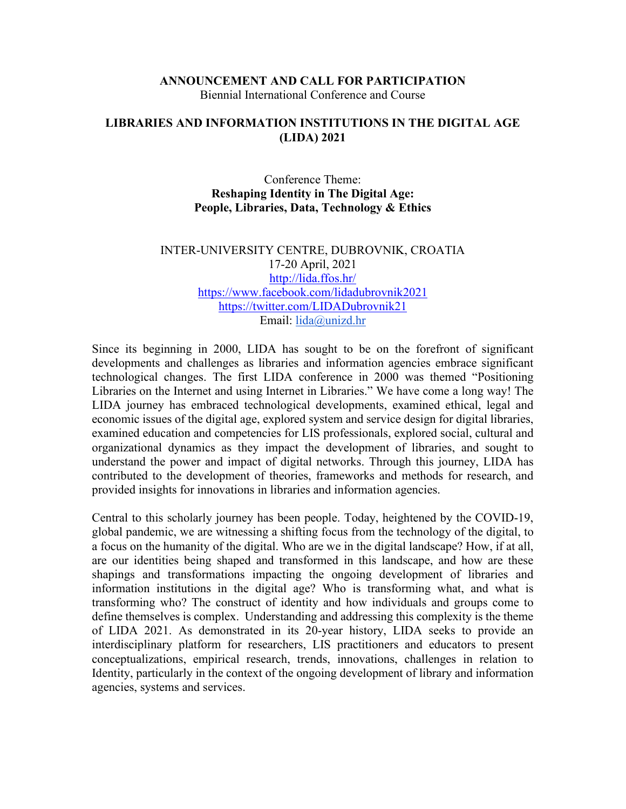### **ANNOUNCEMENT AND CALL FOR PARTICIPATION** Biennial International Conference and Course

### **LIBRARIES AND INFORMATION INSTITUTIONS IN THE DIGITAL AGE (LIDA) 2021**

### Conference Theme: **Reshaping Identity in The Digital Age: People, Libraries, Data, Technology & Ethics**

### INTER-UNIVERSITY CENTRE, DUBROVNIK, CROATIA 17-20 April, 2021 <http://lida.ffos.hr/> <https://www.facebook.com/lidadubrovnik2021> <https://twitter.com/LIDADubrovnik21> Email: [lida@unizd.hr](mailto:lida@unizd.hr)

Since its beginning in 2000, LIDA has sought to be on the forefront of significant developments and challenges as libraries and information agencies embrace significant technological changes. The first LIDA conference in 2000 was themed "Positioning Libraries on the Internet and using Internet in Libraries." We have come a long way! The LIDA journey has embraced technological developments, examined ethical, legal and economic issues of the digital age, explored system and service design for digital libraries, examined education and competencies for LIS professionals, explored social, cultural and organizational dynamics as they impact the development of libraries, and sought to understand the power and impact of digital networks. Through this journey, LIDA has contributed to the development of theories, frameworks and methods for research, and provided insights for innovations in libraries and information agencies.

Central to this scholarly journey has been people. Today, heightened by the COVID-19, global pandemic, we are witnessing a shifting focus from the technology of the digital, to a focus on the humanity of the digital. Who are we in the digital landscape? How, if at all, are our identities being shaped and transformed in this landscape, and how are these shapings and transformations impacting the ongoing development of libraries and information institutions in the digital age? Who is transforming what, and what is transforming who? The construct of identity and how individuals and groups come to define themselves is complex. Understanding and addressing this complexity is the theme of LIDA 2021. As demonstrated in its 20-year history, LIDA seeks to provide an interdisciplinary platform for researchers, LIS practitioners and educators to present conceptualizations, empirical research, trends, innovations, challenges in relation to Identity, particularly in the context of the ongoing development of library and information agencies, systems and services.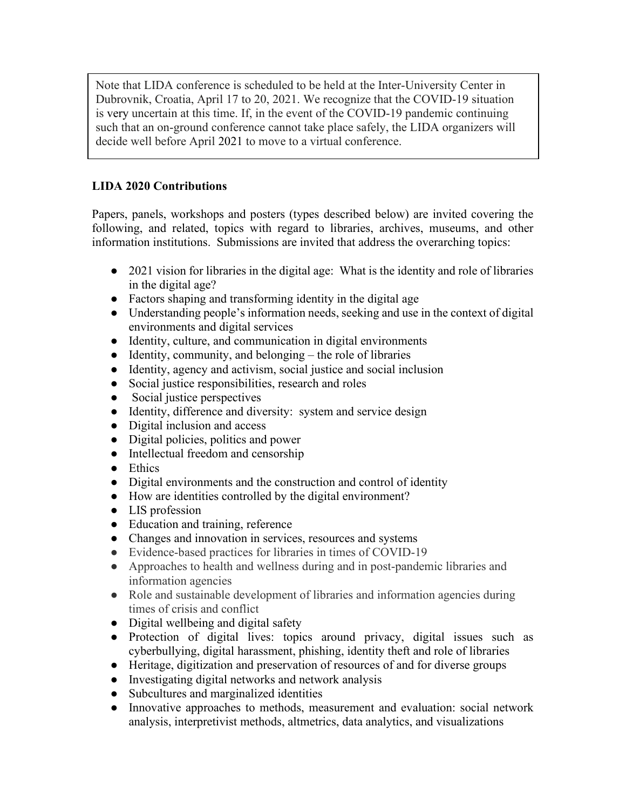Note that LIDA conference is scheduled to be held at the Inter-University Center in Dubrovnik, Croatia, April 17 to 20, 2021. We recognize that the COVID-19 situation is very uncertain at this time. If, in the event of the COVID-19 pandemic continuing such that an on-ground conference cannot take place safely, the LIDA organizers will decide well before April 2021 to move to a virtual conference.

# **LIDA 2020 Contributions**

Papers, panels, workshops and posters (types described below) are invited covering the following, and related, topics with regard to libraries, archives, museums, and other information institutions. Submissions are invited that address the overarching topics:

- 2021 vision for libraries in the digital age: What is the identity and role of libraries in the digital age?
- Factors shaping and transforming identity in the digital age
- Understanding people's information needs, seeking and use in the context of digital environments and digital services
- Identity, culture, and communication in digital environments
- $\bullet$  Identity, community, and belonging the role of libraries
- Identity, agency and activism, social justice and social inclusion
- Social justice responsibilities, research and roles
- Social justice perspectives
- Identity, difference and diversity: system and service design
- Digital inclusion and access
- Digital policies, politics and power
- Intellectual freedom and censorship
- Ethics
- Digital environments and the construction and control of identity
- How are identities controlled by the digital environment?
- LIS profession
- Education and training, reference
- Changes and innovation in services, resources and systems
- Evidence-based practices for libraries in times of COVID-19
- Approaches to health and wellness during and in post-pandemic libraries and information agencies
- Role and sustainable development of libraries and information agencies during times of crisis and conflict
- Digital wellbeing and digital safety
- Protection of digital lives: topics around privacy, digital issues such as cyberbullying, digital harassment, phishing, identity theft and role of libraries
- Heritage, digitization and preservation of resources of and for diverse groups
- Investigating digital networks and network analysis
- Subcultures and marginalized identities
- Innovative approaches to methods, measurement and evaluation: social network analysis, interpretivist methods, altmetrics, data analytics, and visualizations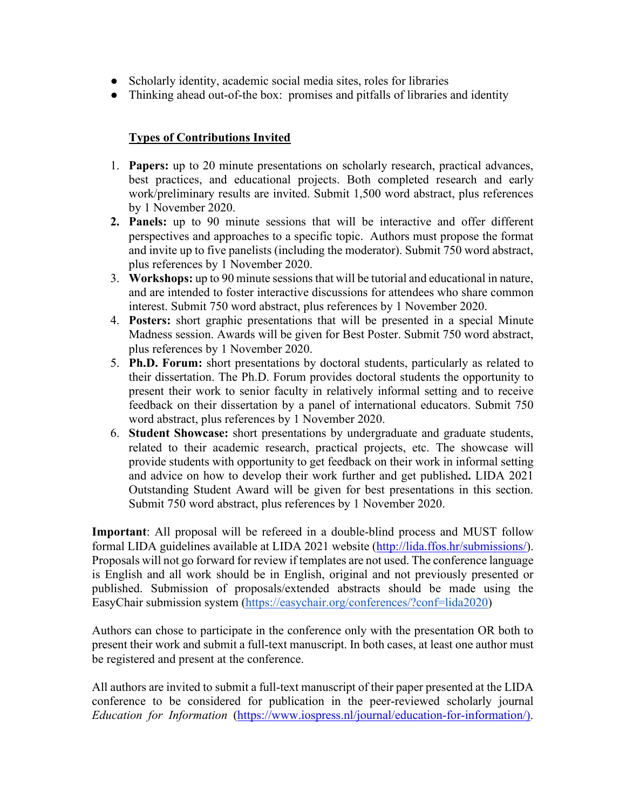- Scholarly identity, academic social media sites, roles for libraries
- Thinking ahead out-of-the box: promises and pitfalls of libraries and identity

# **Types of Contributions Invited**

- 1. **Papers:** up to 20 minute presentations on scholarly research, practical advances, best practices, and educational projects. Both completed research and early work/preliminary results are invited. Submit 1,500 word abstract, plus references by 1 November 2020.
- **2. Panels:** up to 90 minute sessions that will be interactive and offer different perspectives and approaches to a specific topic. Authors must propose the format and invite up to five panelists (including the moderator). Submit 750 word abstract, plus references by 1 November 2020.
- 3. **Workshops:** up to 90 minute sessions that will be tutorial and educational in nature, and are intended to foster interactive discussions for attendees who share common interest. Submit 750 word abstract, plus references by 1 November 2020.
- 4. **Posters:** short graphic presentations that will be presented in a special Minute Madness session. Awards will be given for Best Poster. Submit 750 word abstract, plus references by 1 November 2020.
- 5. **Ph.D. Forum:** short presentations by doctoral students, particularly as related to their dissertation. The Ph.D. Forum provides doctoral students the opportunity to present their work to senior faculty in relatively informal setting and to receive feedback on their dissertation by a panel of international educators. Submit 750 word abstract, plus references by 1 November 2020.
- 6. **Student Showcase:** short presentations by undergraduate and graduate students, related to their academic research, practical projects, etc. The showcase will provide students with opportunity to get feedback on their work in informal setting and advice on how to develop their work further and get published**.** LIDA 2021 Outstanding Student Award will be given for best presentations in this section. Submit 750 word abstract, plus references by 1 November 2020.

**Important**: All proposal will be refereed in a double-blind process and MUST follow formal LIDA guidelines available at LIDA 2021 website [\(http://lida.ffos.hr/submissions/\)](http://lida.ffos.hr/submissions/). Proposals will not go forward for review if templates are not used. The conference language is English and all work should be in English, original and not previously presented or published. Submission of proposals/extended abstracts should be made using the EasyChair submission system [\(https://easychair.org/conferences/?conf=lida2020\)](https://easychair.org/conferences/?conf=lida2020)

Authors can chose to participate in the conference only with the presentation OR both to present their work and submit a full-text manuscript. In both cases, at least one author must be registered and present at the conference.

All authors are invited to submit a full-text manuscript of their paper presented at the LIDA conference to be considered for publication in the peer-reviewed scholarly journal *Education for Information* [\(https://www.iospress.nl/journal/education-for-information/\)](https://www.iospress.nl/journal/education-for-information/).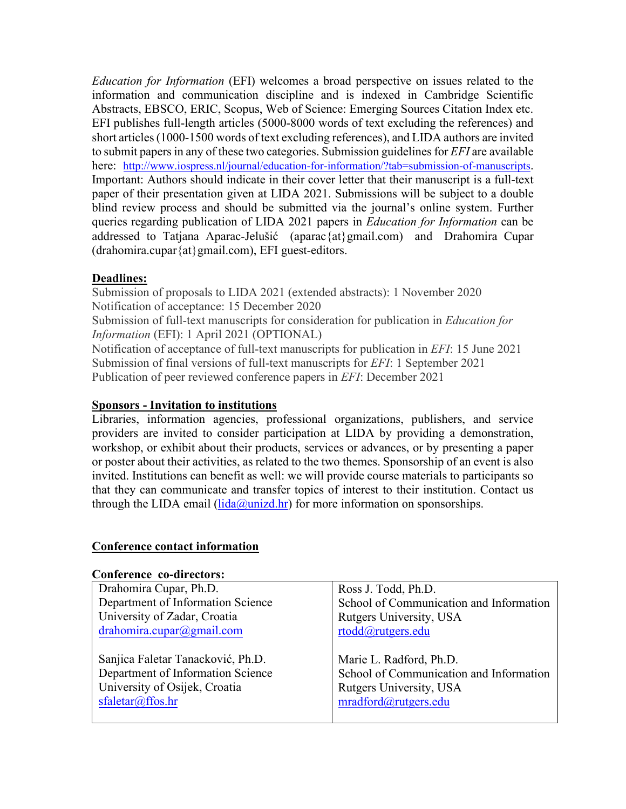*Education for Information* (EFI) welcomes a broad perspective on issues related to the information and communication discipline and is indexed in Cambridge Scientific Abstracts, EBSCO, ERIC, Scopus, Web of Science: Emerging Sources Citation Index etc. EFI publishes full-length articles (5000-8000 words of text excluding the references) and short articles (1000-1500 words of text excluding references), and LIDA authors are invited to submit papers in any of these two categories. Submission guidelines for *EFI* are available here: <http://www.iospress.nl/journal/education-for-information/?tab=submission-of-manuscripts>. Important: Authors should indicate in their cover letter that their manuscript is a full-text paper of their presentation given at LIDA 2021. Submissions will be subject to a double blind review process and should be submitted via the journal's online system. Further queries regarding publication of LIDA 2021 papers in *Education for Information* can be addressed to Tatjana Aparac-Jelušić (aparac{at}gmail.com) and Drahomira Cupar (drahomira.cupar{at}gmail.com), EFI guest-editors.

### **Deadlines:**

Submission of proposals to LIDA 2021 (extended abstracts): 1 November 2020 Notification of acceptance: 15 December 2020 Submission of full-text manuscripts for consideration for publication in *Education for Information* (EFI): 1 April 2021 (OPTIONAL) Notification of acceptance of full-text manuscripts for publication in *EFI*: 15 June 2021 Submission of final versions of full-text manuscripts for *EFI*: 1 September 2021 Publication of peer reviewed conference papers in *EFI*: December 2021

### **Sponsors - Invitation to institutions**

Libraries, information agencies, professional organizations, publishers, and service providers are invited to consider participation at LIDA by providing a demonstration, workshop, or exhibit about their products, services or advances, or by presenting a paper or poster about their activities, as related to the two themes. Sponsorship of an event is also invited. Institutions can benefit as well: we will provide course materials to participants so that they can communicate and transfer topics of interest to their institution. Contact us through the LIDA email ( $\text{lida}(\partial \text{unizd} \cdot \text{hr})$  for more information on sponsorships.

### **Conference contact information**

#### **Conference co-directors:**

| Drahomira Cupar, Ph.D.                                                 | Ross J. Todd, Ph.D.                                                |
|------------------------------------------------------------------------|--------------------------------------------------------------------|
| Department of Information Science                                      | School of Communication and Information                            |
| University of Zadar, Croatia                                           | Rutgers University, USA                                            |
| drahomira.cupar@gmail.com                                              | rtodd@rutgers.edu                                                  |
| Sanjica Faletar Tanacković, Ph.D.<br>Department of Information Science | Marie L. Radford, Ph.D.<br>School of Communication and Information |
| University of Osijek, Croatia                                          | Rutgers University, USA                                            |
| sfaletar@ffos.hr                                                       | mradford@rutgers.edu                                               |
|                                                                        |                                                                    |